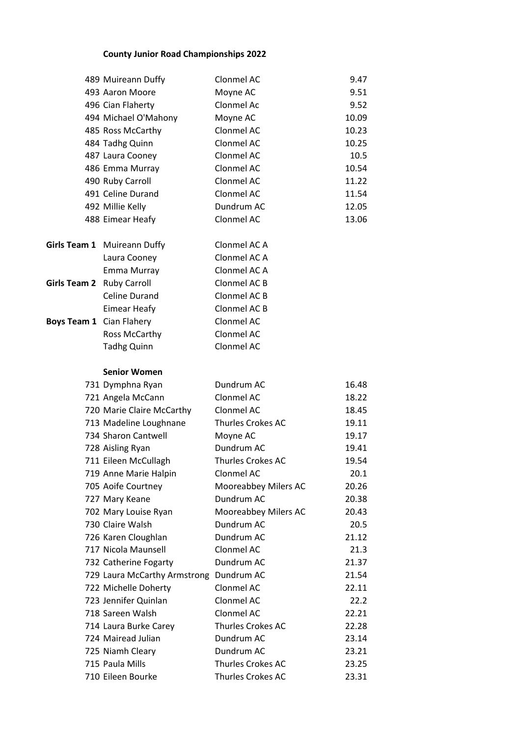## **County Junior Road Championships 2022**

|                                 | 489 Muireann Duffy                      | Clonmel AC               | 9.47  |
|---------------------------------|-----------------------------------------|--------------------------|-------|
|                                 | 493 Aaron Moore                         | Moyne AC                 | 9.51  |
|                                 | 496 Cian Flaherty                       | Clonmel Ac               | 9.52  |
|                                 | 494 Michael O'Mahony                    | Moyne AC                 | 10.09 |
|                                 | 485 Ross McCarthy                       | Clonmel AC               | 10.23 |
|                                 | 484 Tadhg Quinn                         | Clonmel AC               | 10.25 |
|                                 | 487 Laura Cooney                        | Clonmel AC               | 10.5  |
|                                 | 486 Emma Murray                         | Clonmel AC               | 10.54 |
|                                 | 490 Ruby Carroll                        | Clonmel AC               | 11.22 |
|                                 | 491 Celine Durand                       | Clonmel AC               | 11.54 |
|                                 | 492 Millie Kelly                        | Dundrum AC               | 12.05 |
|                                 | 488 Eimear Heafy                        | Clonmel AC               | 13.06 |
|                                 |                                         |                          |       |
|                                 | Girls Team 1 Muireann Duffy             | Clonmel AC A             |       |
|                                 | Laura Cooney                            | Clonmel AC A             |       |
|                                 | Emma Murray                             | Clonmel AC A             |       |
| Girls Team 2 Ruby Carroll       |                                         | Clonmel AC B             |       |
|                                 | Celine Durand                           | Clonmel AC B             |       |
|                                 | Eimear Heafy                            | Clonmel AC B             |       |
| <b>Boys Team 1</b> Cian Flahery |                                         | Clonmel AC               |       |
|                                 | Ross McCarthy                           | Clonmel AC               |       |
|                                 | <b>Tadhg Quinn</b>                      | Clonmel AC               |       |
|                                 | <b>Senior Women</b>                     |                          |       |
|                                 | 731 Dymphna Ryan                        | Dundrum AC               | 16.48 |
|                                 | 721 Angela McCann                       | Clonmel AC               | 18.22 |
|                                 | 720 Marie Claire McCarthy               | Clonmel AC               | 18.45 |
|                                 | 713 Madeline Loughnane                  | <b>Thurles Crokes AC</b> | 19.11 |
|                                 | 734 Sharon Cantwell                     | Moyne AC                 | 19.17 |
|                                 | 728 Aisling Ryan                        | Dundrum AC               | 19.41 |
|                                 | 711 Eileen McCullagh                    | Thurles Crokes AC        | 19.54 |
|                                 | 719 Anne Marie Halpin                   | Clonmel AC               | 20.1  |
|                                 | 705 Aoife Courtney                      | Mooreabbey Milers AC     | 20.26 |
|                                 | 727 Mary Keane                          | Dundrum AC               | 20.38 |
|                                 | 702 Mary Louise Ryan                    | Mooreabbey Milers AC     | 20.43 |
|                                 | 730 Claire Walsh                        | Dundrum AC               | 20.5  |
|                                 | 726 Karen Cloughlan                     | Dundrum AC               | 21.12 |
|                                 | 717 Nicola Maunsell                     | Clonmel AC               | 21.3  |
|                                 | 732 Catherine Fogarty                   | Dundrum AC               | 21.37 |
|                                 | 729 Laura McCarthy Armstrong Dundrum AC |                          | 21.54 |
|                                 | 722 Michelle Doherty                    | Clonmel AC               | 22.11 |
|                                 | 723 Jennifer Quinlan                    | Clonmel AC               | 22.2  |
|                                 | 718 Sareen Walsh                        | Clonmel AC               | 22.21 |
|                                 | 714 Laura Burke Carey                   | <b>Thurles Crokes AC</b> | 22.28 |
|                                 | 724 Mairead Julian                      | Dundrum AC               | 23.14 |
|                                 | 725 Niamh Cleary                        | Dundrum AC               | 23.21 |
|                                 | 715 Paula Mills                         | <b>Thurles Crokes AC</b> | 23.25 |
|                                 | 710 Eileen Bourke                       | Thurles Crokes AC        | 23.31 |
|                                 |                                         |                          |       |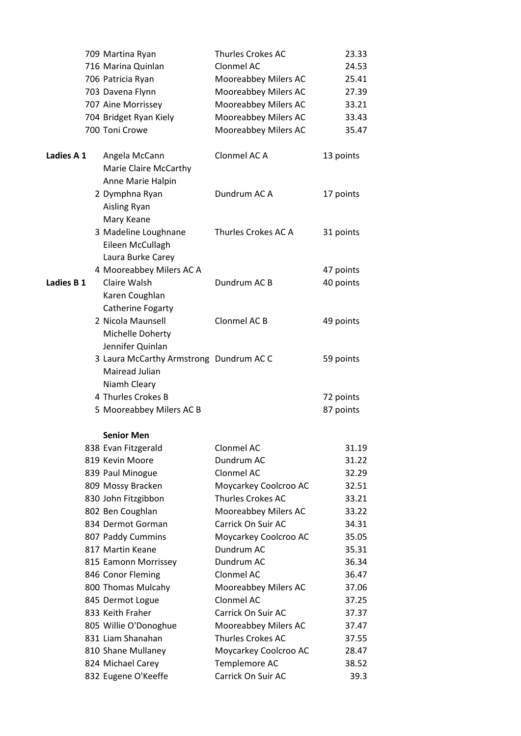|            | 709 Martina Ryan                        | Thurles Crokes AC     | 23.33     |
|------------|-----------------------------------------|-----------------------|-----------|
|            | 716 Marina Quinlan                      | Clonmel AC            | 24.53     |
|            | 706 Patricia Ryan                       | Mooreabbey Milers AC  | 25.41     |
|            | 703 Davena Flynn                        | Mooreabbey Milers AC  | 27.39     |
|            | 707 Aine Morrissey                      | Mooreabbey Milers AC  | 33.21     |
|            | 704 Bridget Ryan Kiely                  | Mooreabbey Milers AC  | 33.43     |
|            | 700 Toni Crowe                          | Mooreabbey Milers AC  | 35.47     |
| Ladies A 1 | Angela McCann                           | Clonmel AC A          | 13 points |
|            | Marie Claire McCarthy                   |                       |           |
|            | Anne Marie Halpin                       |                       |           |
|            | 2 Dymphna Ryan                          | Dundrum AC A          | 17 points |
|            | Aisling Ryan                            |                       |           |
|            | Mary Keane                              |                       |           |
|            | 3 Madeline Loughnane                    | Thurles Crokes AC A   | 31 points |
|            | Eileen McCullagh                        |                       |           |
|            | Laura Burke Carey                       |                       |           |
|            | 4 Mooreabbey Milers AC A                |                       | 47 points |
| Ladies B 1 | Claire Walsh                            | Dundrum AC B          | 40 points |
|            | Karen Coughlan                          |                       |           |
|            | Catherine Fogarty                       |                       |           |
|            | 2 Nicola Maunsell                       | Clonmel AC B          | 49 points |
|            | Michelle Doherty                        |                       |           |
|            | Jennifer Quinlan                        |                       |           |
|            | 3 Laura McCarthy Armstrong Dundrum AC C |                       | 59 points |
|            | Mairead Julian                          |                       |           |
|            | Niamh Cleary                            |                       |           |
|            | 4 Thurles Crokes B                      |                       | 72 points |
|            | 5 Mooreabbey Milers AC B                |                       | 87 points |
|            | <b>Senior Men</b>                       |                       |           |
|            | 838 Evan Fitzgerald                     | Clonmel AC            | 31.19     |
|            | 819 Kevin Moore                         | Dundrum AC            | 31.22     |
|            | 839 Paul Minogue                        | Clonmel AC            | 32.29     |
|            | 809 Mossy Bracken                       | Moycarkey Coolcroo AC | 32.51     |
|            | 830 John Fitzgibbon                     | Thurles Crokes AC     | 33.21     |
|            | 802 Ben Coughlan                        | Mooreabbey Milers AC  | 33.22     |
|            | 834 Dermot Gorman                       | Carrick On Suir AC    | 34.31     |
|            | 807 Paddy Cummins                       | Moycarkey Coolcroo AC | 35.05     |
|            | 817 Martin Keane                        | Dundrum AC            | 35.31     |
|            | 815 Eamonn Morrissey                    | Dundrum AC            | 36.34     |
|            | 846 Conor Fleming                       | Clonmel AC            | 36.47     |
|            | 800 Thomas Mulcahy                      | Mooreabbey Milers AC  | 37.06     |
|            | 845 Dermot Logue                        | Clonmel AC            | 37.25     |
|            | 833 Keith Fraher                        | Carrick On Suir AC    | 37.37     |
|            | 805 Willie O'Donoghue                   | Mooreabbey Milers AC  | 37.47     |
|            | 831 Liam Shanahan                       | Thurles Crokes AC     | 37.55     |
|            | 810 Shane Mullaney                      | Moycarkey Coolcroo AC | 28.47     |
|            | 824 Michael Carey                       | Templemore AC         | 38.52     |
|            | 832 Eugene O'Keeffe                     | Carrick On Suir AC    | 39.3      |